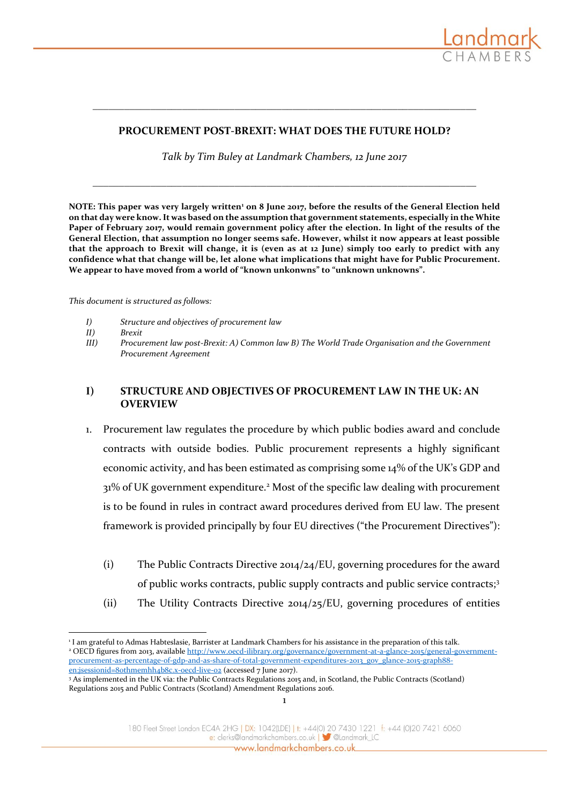

#### **PROCUREMENT POST-BREXIT: WHAT DOES THE FUTURE HOLD?**

**\_\_\_\_\_\_\_\_\_\_\_\_\_\_\_\_\_\_\_\_\_\_\_\_\_\_\_\_\_\_\_\_\_\_\_\_\_\_\_\_\_\_\_\_\_\_\_\_\_\_\_\_\_\_\_\_\_\_\_\_\_\_\_\_\_\_\_\_\_\_\_\_\_**

*Talk by Tim Buley at Landmark Chambers, 12 June 2017*

**\_\_\_\_\_\_\_\_\_\_\_\_\_\_\_\_\_\_\_\_\_\_\_\_\_\_\_\_\_\_\_\_\_\_\_\_\_\_\_\_\_\_\_\_\_\_\_\_\_\_\_\_\_\_\_\_\_\_\_\_\_\_\_\_\_\_\_\_\_\_\_\_\_**

**NOTE: This paper was very largely written<sup>1</sup> on 8 June 2017, before the results of the General Election held on that day were know. It was based on the assumption that government statements, especially in the White Paper of February 2017, would remain government policy after the election. In light of the results of the General Election, that assumption no longer seems safe. However, whilst it now appears at least possible that the approach to Brexit will change, it is (even as at 12 June) simply too early to predict with any confidence what that change will be, let alone what implications that might have for Public Procurement. We appear to have moved from a world of "known unkonwns" to "unknown unknowns".** 

*This document is structured as follows:*

- *I) Structure and objectives of procurement law*
- *II) Brexit*
- *III) Procurement law post-Brexit: A) Common law B) The World Trade Organisation and the Government Procurement Agreement*

#### **I) STRUCTURE AND OBJECTIVES OF PROCUREMENT LAW IN THE UK: AN OVERVIEW**

- 1. Procurement law regulates the procedure by which public bodies award and conclude contracts with outside bodies. Public procurement represents a highly significant economic activity, and has been estimated as comprising some 14% of the UK's GDP and 31% of UK government expenditure.<sup>2</sup> Most of the specific law dealing with procurement is to be found in rules in contract award procedures derived from EU law. The present framework is provided principally by four EU directives ("the Procurement Directives"):
	- (i) The Public Contracts Directive 2014/24/EU, governing procedures for the award of public works contracts, public supply contracts and public service contracts;<sup>3</sup>
	- (ii) The Utility Contracts Directive 2014/25/EU, governing procedures of entities

1

<sup>&</sup>lt;u>.</u> 1 I am grateful to Admas Habteslasie, Barrister at Landmark Chambers for his assistance in the preparation of this talk. <sup>2</sup> OECD figures from 2013, available [http://www.oecd-ilibrary.org/governance/government-at-a-glance-2015/general-government](http://www.oecd-ilibrary.org/governance/government-at-a-glance-2015/general-government-procurement-as-percentage-of-gdp-and-as-share-of-total-government-expenditures-2013_gov_glance-2015-graph88-en;jsessionid=80thmemhh4b8c.x-oecd-live-02)[procurement-as-percentage-of-gdp-and-as-share-of-total-government-expenditures-2013\\_gov\\_glance-2015-graph88](http://www.oecd-ilibrary.org/governance/government-at-a-glance-2015/general-government-procurement-as-percentage-of-gdp-and-as-share-of-total-government-expenditures-2013_gov_glance-2015-graph88-en;jsessionid=80thmemhh4b8c.x-oecd-live-02) en;jsessionid=8othmemhh4b8c.x-oecd-live-02 (accessed 7 June 2017).

<sup>3</sup> As implemented in the UK via: the Public Contracts Regulations 2015 and, in Scotland, the Public Contracts (Scotland) Regulations 2015 and Public Contracts (Scotland) Amendment Regulations 2016.

<sup>180</sup> Fleet Street London EC4A 2HG | DX: 1042(LDE) | t: +44(0) 20 7430 1221 f: +44 (0)20 7421 6060 e: clerks@landmarkchambers.co.uk | Sulandmark\_LC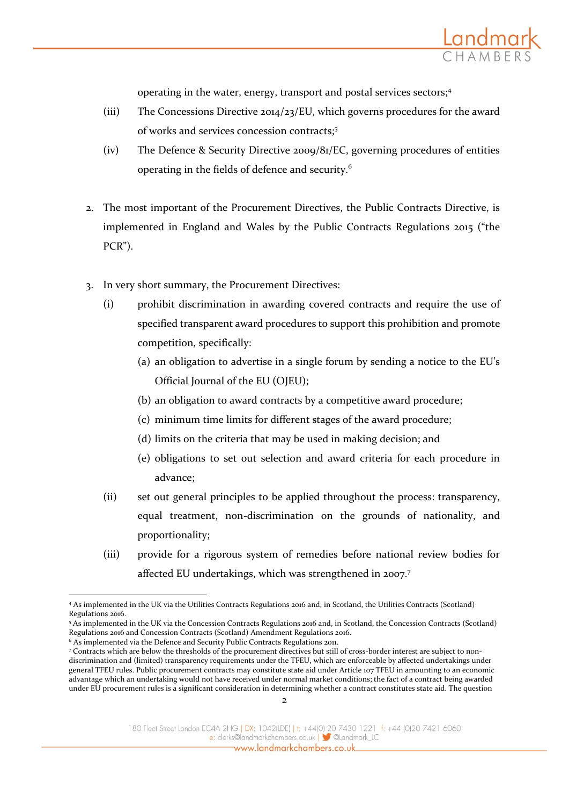operating in the water, energy, transport and postal services sectors;<sup>4</sup>

<u>Landma</u>

- (iii) The Concessions Directive 2014/23/EU, which governs procedures for the award of works and services concession contracts;<sup>5</sup>
- (iv) The Defence & Security Directive 2009/81/EC, governing procedures of entities operating in the fields of defence and security.<sup>6</sup>
- 2. The most important of the Procurement Directives, the Public Contracts Directive, is implemented in England and Wales by the Public Contracts Regulations 2015 ("the PCR").
- 3. In very short summary, the Procurement Directives:
	- (i) prohibit discrimination in awarding covered contracts and require the use of specified transparent award procedures to support this prohibition and promote competition, specifically:
		- (a) an obligation to advertise in a single forum by sending a notice to the EU's Official Journal of the EU (OJEU);
		- (b) an obligation to award contracts by a competitive award procedure;
		- (c) minimum time limits for different stages of the award procedure;
		- (d) limits on the criteria that may be used in making decision; and
		- (e) obligations to set out selection and award criteria for each procedure in advance;
	- (ii) set out general principles to be applied throughout the process: transparency, equal treatment, non-discrimination on the grounds of nationality, and proportionality;
	- (iii) provide for a rigorous system of remedies before national review bodies for affected EU undertakings, which was strengthened in 2007.<sup>7</sup>

<sup>-</sup><sup>4</sup> As implemented in the UK via the Utilities Contracts Regulations 2016 and, in Scotland, the Utilities Contracts (Scotland) Regulations 2016.

<sup>5</sup> As implemented in the UK via the Concession Contracts Regulations 2016 and, in Scotland, the Concession Contracts (Scotland) Regulations 2016 and Concession Contracts (Scotland) Amendment Regulations 2016.

<sup>&</sup>lt;sup>6</sup> As implemented via the Defence and Security Public Contracts Regulations 2011.

<sup>7</sup> Contracts which are below the thresholds of the procurement directives but still of cross-border interest are subject to nondiscrimination and (limited) transparency requirements under the TFEU, which are enforceable by affected undertakings under general TFEU rules. Public procurement contracts may constitute state aid under Article 107 TFEU in amounting to an economic advantage which an undertaking would not have received under normal market conditions; the fact of a contract being awarded under EU procurement rules is a significant consideration in determining whether a contract constitutes state aid. The question

<sup>180</sup> Fleet Street London EC4A 2HG | DX: 1042(LDE) | t: +44(0) 20 7430 1221 f: +44 (0)20 7421 6060 e: clerks@landmarkchambers.co.uk | 3 @Landmark\_LC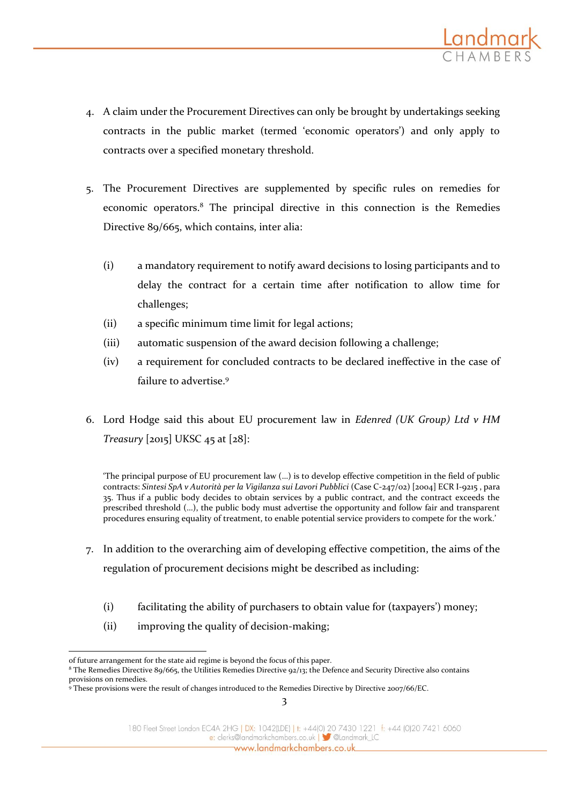

- 4. A claim under the Procurement Directives can only be brought by undertakings seeking contracts in the public market (termed 'economic operators') and only apply to contracts over a specified monetary threshold.
- 5. The Procurement Directives are supplemented by specific rules on remedies for economic operators.<sup>8</sup> The principal directive in this connection is the Remedies Directive 89/665, which contains, inter alia:
	- (i) a mandatory requirement to notify award decisions to losing participants and to delay the contract for a certain time after notification to allow time for challenges;
	- (ii) a specific minimum time limit for legal actions;
	- (iii) automatic suspension of the award decision following a challenge;
	- (iv) a requirement for concluded contracts to be declared ineffective in the case of failure to advertise.<sup>9</sup>
- 6. Lord Hodge said this about EU procurement law in *Edenred (UK Group) Ltd v HM Treasury* [2015] UKSC 45 at [28]:

'The principal purpose of EU procurement law (…) is to develop effective competition in the field of public contracts: *Sintesi SpA v Autorità per la Vigilanza sui Lavori Pubblici* (Case C-247/02) [2004] ECR I-9215 , para 35. Thus if a public body decides to obtain services by a public contract, and the contract exceeds the prescribed threshold (…), the public body must advertise the opportunity and follow fair and transparent procedures ensuring equality of treatment, to enable potential service providers to compete for the work.'

- 7. In addition to the overarching aim of developing effective competition, the aims of the regulation of procurement decisions might be described as including:
	- (i) facilitating the ability of purchasers to obtain value for (taxpayers') money;
	- (ii) improving the quality of decision-making;

<sup>&</sup>lt;u>.</u> of future arrangement for the state aid regime is beyond the focus of this paper.

<sup>8</sup> The Remedies Directive 89/665, the Utilities Remedies Directive 92/13; the Defence and Security Directive also contains provisions on remedies.

<sup>9</sup> These provisions were the result of changes introduced to the Remedies Directive by Directive 2007/66/EC.

<sup>180</sup> Fleet Street London EC4A 2HG | DX: 1042(LDE) | t: +44(0) 20 7430 1221 f: +44 (0)20 7421 6060 e: clerks@landmarkchambers.co.uk | Sulandmark\_LC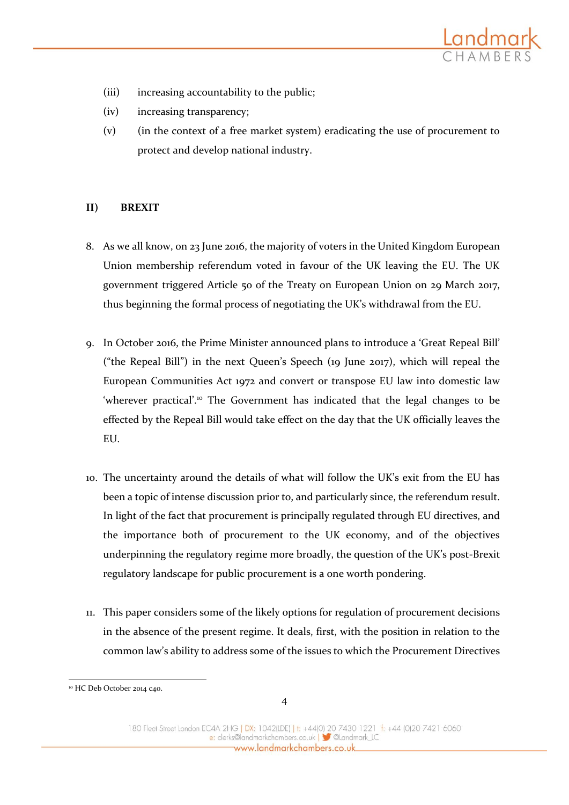

- (iii) increasing accountability to the public;
- (iv) increasing transparency;
- (v) (in the context of a free market system) eradicating the use of procurement to protect and develop national industry.

### **II) BREXIT**

- 8. As we all know, on 23 June 2016, the majority of voters in the United Kingdom European Union membership referendum voted in favour of the UK leaving the EU. The UK government triggered Article 50 of the Treaty on European Union on 29 March 2017, thus beginning the formal process of negotiating the UK's withdrawal from the EU.
- 9. In October 2016, the Prime Minister announced plans to introduce a 'Great Repeal Bill' ("the Repeal Bill") in the next Queen's Speech (19 June 2017), which will repeal the European Communities Act 1972 and convert or transpose EU law into domestic law 'wherever practical'.<sup>10</sup> The Government has indicated that the legal changes to be effected by the Repeal Bill would take effect on the day that the UK officially leaves the EU.
- 10. The uncertainty around the details of what will follow the UK's exit from the EU has been a topic of intense discussion prior to, and particularly since, the referendum result. In light of the fact that procurement is principally regulated through EU directives, and the importance both of procurement to the UK economy, and of the objectives underpinning the regulatory regime more broadly, the question of the UK's post-Brexit regulatory landscape for public procurement is a one worth pondering.
- 11. This paper considers some of the likely options for regulation of procurement decisions in the absence of the present regime. It deals, first, with the position in relation to the common law's ability to address some of the issues to which the Procurement Directives

<sup>&</sup>lt;u>.</u> <sup>10</sup> HC Deb October 2014 c40.

<sup>180</sup> Fleet Street London EC4A 2HG | DX: 1042(LDE) | t: +44(0) 20 7430 1221 f: +44 (0)20 7421 6060 e: clerks@landmarkchambers.co.uk | Sulandmark\_LC www.landmarkchambers.co.uk\_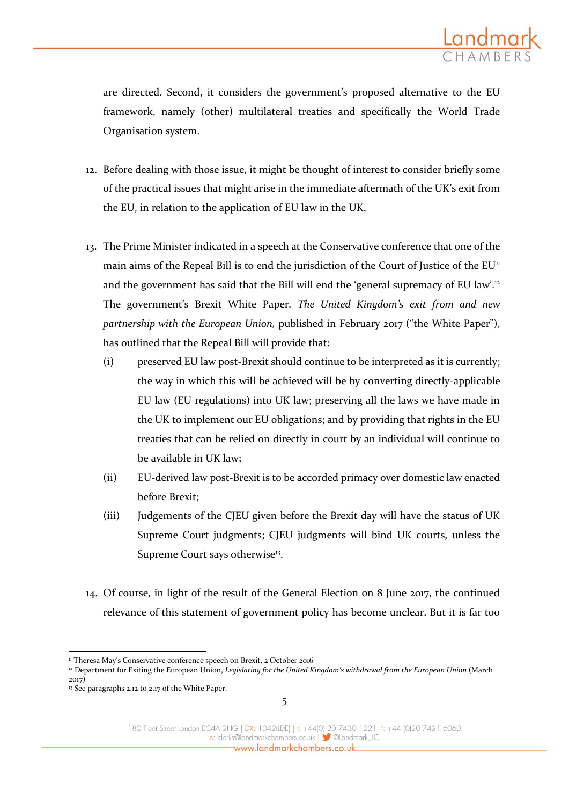are directed. Second, it considers the government's proposed alternative to the EU framework, namely (other) multilateral treaties and specifically the World Trade Organisation system.

- 12. Before dealing with those issue, it might be thought of interest to consider briefly some of the practical issues that might arise in the immediate aftermath of the UK's exit from the EU, in relation to the application of EU law in the UK.
- 13. The Prime Minister indicated in a speech at the Conservative conference that one of the main aims of the Repeal Bill is to end the jurisdiction of the Court of Justice of the  $EU^{\pi}$ and the government has said that the Bill will end the 'general supremacy of EU law'.<sup>12</sup> The government's Brexit White Paper, *The United Kingdom's exit from and new partnership with the European Union,* published in February 2017 ("the White Paper"), has outlined that the Repeal Bill will provide that:
	- (i) preserved EU law post-Brexit should continue to be interpreted as it is currently; the way in which this will be achieved will be by converting directly-applicable EU law (EU regulations) into UK law; preserving all the laws we have made in the UK to implement our EU obligations; and by providing that rights in the EU treaties that can be relied on directly in court by an individual will continue to be available in UK law;
	- (ii) EU-derived law post-Brexit is to be accorded primacy over domestic law enacted before Brexit;
	- (iii) Judgements of the CJEU given before the Brexit day will have the status of UK Supreme Court judgments; CJEU judgments will bind UK courts, unless the Supreme Court says otherwise<sup>13</sup>.
- 14. Of course, in light of the result of the General Election on 8 June 2017, the continued relevance of this statement of government policy has become unclear. But it is far too

<u>.</u>

<sup>&</sup>lt;sup>11</sup> Theresa May's Conservative conference speech on Brexit, 2 October 2016

<sup>&</sup>lt;sup>12</sup> Department for Exiting the European Union, *Legislating for the United Kingdom's withdrawal from the European Union* (March 2017)

<sup>&</sup>lt;sup>13</sup> See paragraphs 2.12 to 2.17 of the White Paper.

<sup>180</sup> Fleet Street London EC4A 2HG | DX: 1042(LDE) | t: +44(0) 20 7430 1221 f: +44 (0)20 7421 6060 e: clerks@landmarkchambers.co.uk | Sulandmark\_LC www.landmarkchambers.co.uk\_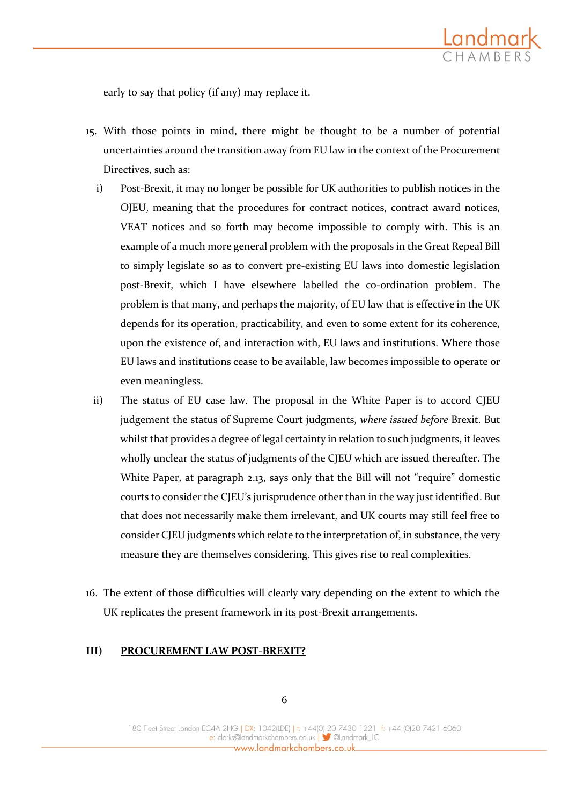

early to say that policy (if any) may replace it.

- 15. With those points in mind, there might be thought to be a number of potential uncertainties around the transition away from EU law in the context of the Procurement Directives, such as:
	- i) Post-Brexit, it may no longer be possible for UK authorities to publish notices in the OJEU, meaning that the procedures for contract notices, contract award notices, VEAT notices and so forth may become impossible to comply with. This is an example of a much more general problem with the proposals in the Great Repeal Bill to simply legislate so as to convert pre-existing EU laws into domestic legislation post-Brexit, which I have elsewhere labelled the co-ordination problem. The problem is that many, and perhaps the majority, of EU law that is effective in the UK depends for its operation, practicability, and even to some extent for its coherence, upon the existence of, and interaction with, EU laws and institutions. Where those EU laws and institutions cease to be available, law becomes impossible to operate or even meaningless.
- ii) The status of EU case law. The proposal in the White Paper is to accord CJEU judgement the status of Supreme Court judgments, *where issued before* Brexit. But whilst that provides a degree of legal certainty in relation to such judgments, it leaves wholly unclear the status of judgments of the CJEU which are issued thereafter. The White Paper, at paragraph 2.13, says only that the Bill will not "require" domestic courts to consider the CJEU's jurisprudence other than in the way just identified. But that does not necessarily make them irrelevant, and UK courts may still feel free to consider CJEU judgments which relate to the interpretation of, in substance, the very measure they are themselves considering. This gives rise to real complexities.
- 16. The extent of those difficulties will clearly vary depending on the extent to which the UK replicates the present framework in its post-Brexit arrangements.

#### **III) PROCUREMENT LAW POST-BREXIT?**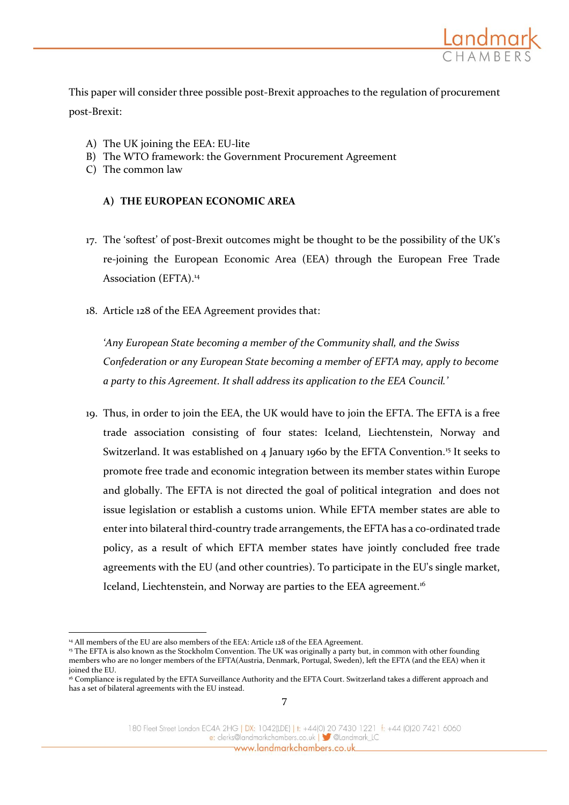

This paper will consider three possible post-Brexit approaches to the regulation of procurement post-Brexit:

- A) The UK joining the EEA: EU-lite
- B) The WTO framework: the Government Procurement Agreement
- C) The common law

#### **A) THE EUROPEAN ECONOMIC AREA**

- 17. The 'softest' of post-Brexit outcomes might be thought to be the possibility of the UK's re-joining the European Economic Area (EEA) through the European Free Trade Association (EFTA).<sup>14</sup>
- 18. Article 128 of the EEA Agreement provides that:

*'Any European State becoming a member of the Community shall, and the Swiss Confederation or any European State becoming a member of EFTA may, apply to become a party to this Agreement. It shall address its application to the EEA Council.'*

19. Thus, in order to join the EEA, the UK would have to join the EFTA. The EFTA is a free trade association consisting of four states: Iceland, Liechtenstein, Norway and Switzerland. It was established on 4 January 1960 by the EFTA Convention.<sup>15</sup> It seeks to promote free trade and economic integration between its member states within Europe and globally. The EFTA is not directed the goal of political integration and does not issue legislation or establish a customs union. While EFTA member states are able to enter into bilateral third-country trade arrangements, the EFTA has a co-ordinated trade policy, as a result of which EFTA member states have jointly concluded free trade agreements with the EU (and other countries). To participate in the EU's single market, Iceland, Liechtenstein, and Norway are parties to the EEA agreement.<sup>16</sup>

<u>.</u>

<sup>&</sup>lt;sup>14</sup> All members of the EU are also members of the EEA: Article 128 of the EEA Agreement.

<sup>&</sup>lt;sup>15</sup> The EFTA is also known as the Stockholm Convention. The UK was originally a party but, in common with other founding members who are no longer members of the EFTA(Austria, Denmark, Portugal, Sweden), left the EFTA (and the EEA) when it joined the EU.

<sup>&</sup>lt;sup>16</sup> Compliance is regulated by the EFTA Surveillance Authority and the EFTA Court. Switzerland takes a different approach and has a set of bilateral agreements with the EU instead.

<sup>180</sup> Fleet Street London EC4A 2HG | DX: 1042(LDE) | t: +44(0) 20 7430 1221 f: +44 (0)20 7421 6060 e: clerks@landmarkchambers.co.uk | 3 @Landmark\_LC www.landmarkchambers.co.uk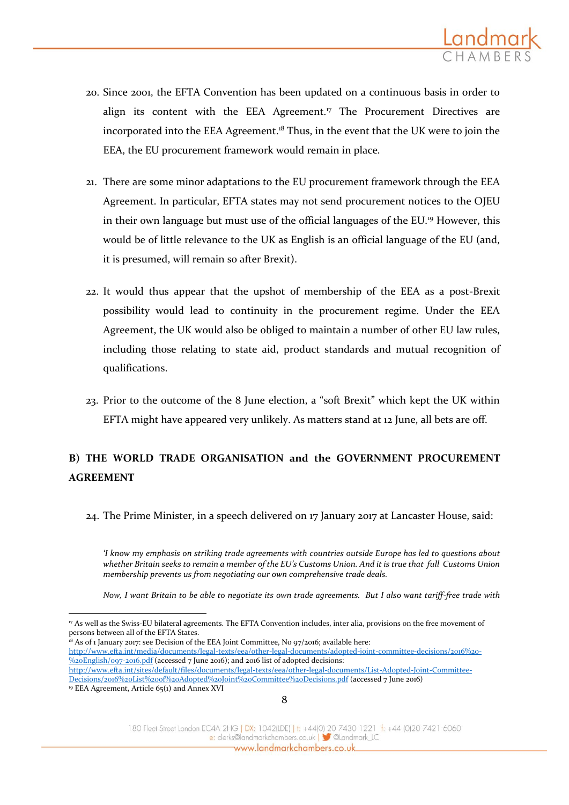

- 20. Since 2001, the EFTA Convention has been updated on a continuous basis in order to align its content with the EEA Agreement.<sup>17</sup> The Procurement Directives are incorporated into the EEA Agreement.<sup>18</sup> Thus, in the event that the UK were to join the EEA, the EU procurement framework would remain in place.
- 21. There are some minor adaptations to the EU procurement framework through the EEA Agreement. In particular, EFTA states may not send procurement notices to the OJEU in their own language but must use of the official languages of the EU.<sup>19</sup> However, this would be of little relevance to the UK as English is an official language of the EU (and, it is presumed, will remain so after Brexit).
- 22. It would thus appear that the upshot of membership of the EEA as a post-Brexit possibility would lead to continuity in the procurement regime. Under the EEA Agreement, the UK would also be obliged to maintain a number of other EU law rules, including those relating to state aid, product standards and mutual recognition of qualifications.
- 23. Prior to the outcome of the 8 June election, a "soft Brexit" which kept the UK within EFTA might have appeared very unlikely. As matters stand at 12 June, all bets are off.

## **B) THE WORLD TRADE ORGANISATION and the GOVERNMENT PROCUREMENT AGREEMENT**

24. The Prime Minister, in a speech delivered on 17 January 2017 at Lancaster House, said:

*'I know my emphasis on striking trade agreements with countries outside Europe has led to questions about whether Britain seeks to remain a member of the EU's Customs Union. And it is true that full Customs Union membership prevents us from negotiating our own comprehensive trade deals.*

*Now, I want Britain to be able to negotiate its own trade agreements. But I also want tariff-free trade with* 

<sup>18</sup> As of 1 January 2017: see Decision of the EEA Joint Committee, No 97/2016; available here:

-

8

180 Fleet Street London EC4A 2HG | DX: 1042(LDE) | t: +44(0) 20 7430 1221 f: +44 (0)20 7421 6060 e: clerks@landmarkchambers.co.uk | 3 @Landmark\_LC www.landmarkchambers.co.uk

<sup>17</sup> As well as the Swiss-EU bilateral agreements. The EFTA Convention includes, inter alia, provisions on the free movement of persons between all of the EFTA States.

[http://www.efta.int/media/documents/legal-texts/eea/other-legal-documents/adopted-joint-committee-decisions/2016%20-](http://www.efta.int/media/documents/legal-texts/eea/other-legal-documents/adopted-joint-committee-decisions/2016%20-%20English/097-2016.pdf) [%20English/097-2016.pdf](http://www.efta.int/media/documents/legal-texts/eea/other-legal-documents/adopted-joint-committee-decisions/2016%20-%20English/097-2016.pdf) (accessed 7 June 2016); and 2016 list of adopted decisions: [http://www.efta.int/sites/default/files/documents/legal-texts/eea/other-legal-documents/List-Adopted-Joint-Committee-](http://www.efta.int/sites/default/files/documents/legal-texts/eea/other-legal-documents/List-Adopted-Joint-Committee-Decisions/2016%20List%20of%20Adopted%20Joint%20Committee%20Decisions.pdf)

[Decisions/2016%20List%20of%20Adopted%20Joint%20Committee%20Decisions.pdf](http://www.efta.int/sites/default/files/documents/legal-texts/eea/other-legal-documents/List-Adopted-Joint-Committee-Decisions/2016%20List%20of%20Adopted%20Joint%20Committee%20Decisions.pdf) (accessed 7 June 2016) <sup>19</sup> EEA Agreement, Article 65(1) and Annex XVI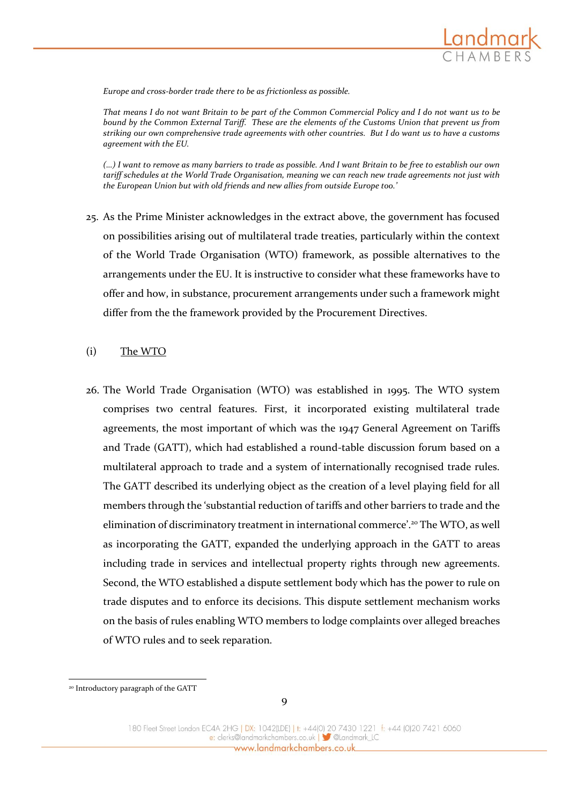

*Europe and cross-border trade there to be as frictionless as possible.*

*That means I do not want Britain to be part of the Common Commercial Policy and I do not want us to be bound by the Common External Tariff. These are the elements of the Customs Union that prevent us from striking our own comprehensive trade agreements with other countries. But I do want us to have a customs agreement with the EU.*

*(…) I want to remove as many barriers to trade as possible. And I want Britain to be free to establish our own tariff schedules at the World Trade Organisation, meaning we can reach new trade agreements not just with the European Union but with old friends and new allies from outside Europe too.'*

25. As the Prime Minister acknowledges in the extract above, the government has focused on possibilities arising out of multilateral trade treaties, particularly within the context of the World Trade Organisation (WTO) framework, as possible alternatives to the arrangements under the EU. It is instructive to consider what these frameworks have to offer and how, in substance, procurement arrangements under such a framework might differ from the the framework provided by the Procurement Directives.

#### (i) The WTO

26. The World Trade Organisation (WTO) was established in 1995. The WTO system comprises two central features. First, it incorporated existing multilateral trade agreements, the most important of which was the 1947 General Agreement on Tariffs and Trade (GATT), which had established a round-table discussion forum based on a multilateral approach to trade and a system of internationally recognised trade rules. The GATT described its underlying object as the creation of a level playing field for all members through the 'substantial reduction of tariffs and other barriers to trade and the elimination of discriminatory treatment in international commerce'.<sup>20</sup> The WTO, as well as incorporating the GATT, expanded the underlying approach in the GATT to areas including trade in services and intellectual property rights through new agreements. Second, the WTO established a dispute settlement body which has the power to rule on trade disputes and to enforce its decisions. This dispute settlement mechanism works on the basis of rules enabling WTO members to lodge complaints over alleged breaches of WTO rules and to seek reparation*.*

<u>.</u>

<sup>20</sup> Introductory paragraph of the GATT

<sup>180</sup> Fleet Street London EC4A 2HG | DX: 1042(LDE) | t: +44(0) 20 7430 1221 f: +44 (0)20 7421 6060 e: clerks@landmarkchambers.co.uk | Sulandmark\_LC www.landmarkchambers.co.uk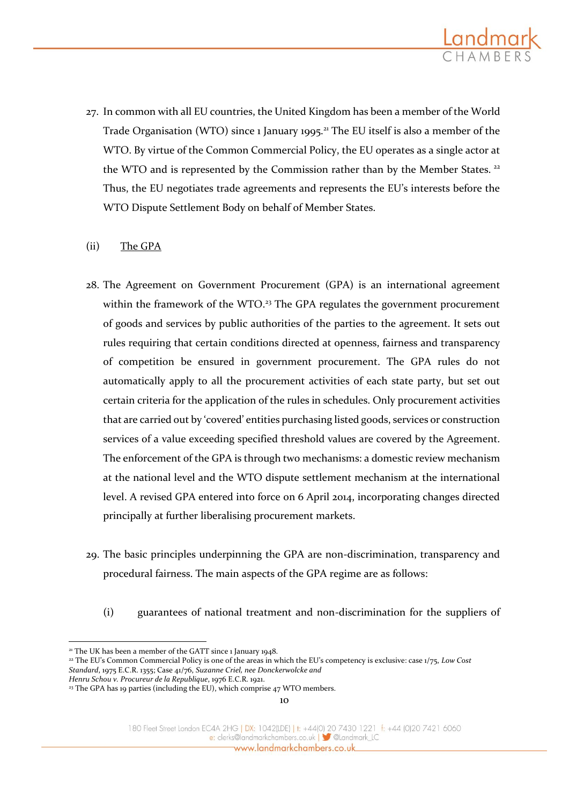

27. In common with all EU countries, the United Kingdom has been a member of the World Trade Organisation (WTO) since 1 January 1995.<sup>21</sup> The EU itself is also a member of the WTO. By virtue of the Common Commercial Policy, the EU operates as a single actor at the WTO and is represented by the Commission rather than by the Member States.<sup>22</sup> Thus, the EU negotiates trade agreements and represents the EU's interests before the WTO Dispute Settlement Body on behalf of Member States.

#### (ii) The GPA

- 28. The Agreement on Government Procurement (GPA) is an international agreement within the framework of the WTO.<sup>23</sup> The GPA regulates the government procurement of goods and services by public authorities of the parties to the agreement. It sets out rules requiring that certain conditions directed at openness, fairness and transparency of competition be ensured in government procurement. The GPA rules do not automatically apply to all the procurement activities of each state party, but set out certain criteria for the application of the rules in schedules. Only procurement activities that are carried out by 'covered' entities purchasing listed goods, services or construction services of a value exceeding specified threshold values are covered by the Agreement. The enforcement of the GPA is through two mechanisms: a domestic review mechanism at the national level and the WTO dispute settlement mechanism at the international level. A revised GPA entered into force on 6 April 2014, incorporating changes directed principally at further liberalising procurement markets.
- 29. The basic principles underpinning the GPA are non-discrimination, transparency and procedural fairness. The main aspects of the GPA regime are as follows:
	- (i) guarantees of national treatment and non-discrimination for the suppliers of

<sup>&</sup>lt;u>.</u> <sup>21</sup> The UK has been a member of the GATT since 1 January 1948.

<sup>22</sup> The EU's Common Commercial Policy is one of the areas in which the EU's competency is exclusive: case 1/75, *Low Cost Standard*, 1975 E.C.R. 1355; Case 41/76, *Suzanne Criel, nee Donckerwolcke and Henru Schou v. Procureur de la Republique*, 1976 E.C.R. 1921.

<sup>&</sup>lt;sup>23</sup> The GPA has 19 parties (including the EU), which comprise 47 WTO members.

<sup>180</sup> Fleet Street London EC4A 2HG | DX: 1042(LDE) | t: +44(0) 20 7430 1221 f: +44 (0)20 7421 6060 e: clerks@landmarkchambers.co.uk | Sulandmark\_LC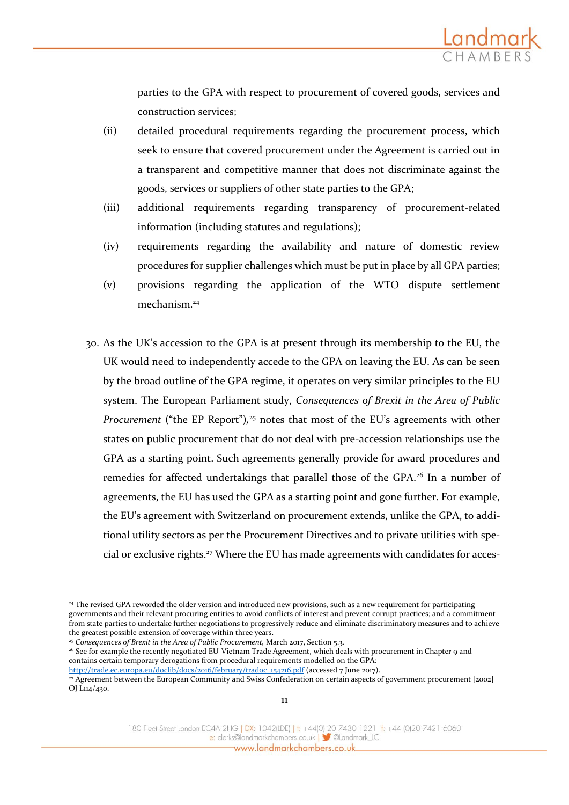parties to the GPA with respect to procurement of covered goods, services and construction services;

- (ii) detailed procedural requirements regarding the procurement process, which seek to ensure that covered procurement under the Agreement is carried out in a transparent and competitive manner that does not discriminate against the goods, services or suppliers of other state parties to the GPA;
- (iii) additional requirements regarding transparency of procurement-related information (including statutes and regulations);
- (iv) requirements regarding the availability and nature of domestic review procedures for supplier challenges which must be put in place by all GPA parties;
- (v) provisions regarding the application of the WTO dispute settlement mechanism<sup>24</sup>
- 30. As the UK's accession to the GPA is at present through its membership to the EU, the UK would need to independently accede to the GPA on leaving the EU. As can be seen by the broad outline of the GPA regime, it operates on very similar principles to the EU system. The European Parliament study, *Consequences of Brexit in the Area of Public Procurement* ("the EP Report"),<sup>25</sup> notes that most of the EU's agreements with other states on public procurement that do not deal with pre-accession relationships use the GPA as a starting point. Such agreements generally provide for award procedures and remedies for affected undertakings that parallel those of the GPA.<sup>26</sup> In a number of agreements, the EU has used the GPA as a starting point and gone further. For example, the EU's agreement with Switzerland on procurement extends, unlike the GPA, to additional utility sectors as per the Procurement Directives and to private utilities with special or exclusive rights.<sup>27</sup> Where the EU has made agreements with candidates for acces-

-

180 Fleet Street London EC4A 2HG | DX: 1042(LDE) | t: +44(0) 20 7430 1221 f: +44 (0)20 7421 6060 e: clerks@landmarkchambers.co.uk | 3 @Landmark\_LC www.landmarkchambers.co.uk

<sup>&</sup>lt;sup>24</sup> The revised GPA reworded the older version and introduced new provisions, such as a new requirement for participating governments and their relevant procuring entities to avoid conflicts of interest and prevent corrupt practices; and a commitment from state parties to undertake further negotiations to progressively reduce and eliminate discriminatory measures and to achieve the greatest possible extension of coverage within three years.

<sup>&</sup>lt;sup>25</sup> Consequences of Brexit in the Area of Public Procurement, March 2017, Section 5.3.

<sup>26</sup> See for example the recently negotiated EU-Vietnam Trade Agreement, which deals with procurement in Chapter 9 and contains certain temporary derogations from procedural requirements modelled on the GPA: [http://trade.ec.europa.eu/doclib/docs/2016/february/tradoc\\_154216.pdf](http://trade.ec.europa.eu/doclib/docs/2016/february/tradoc_154216.pdf) (accessed 7 June 2017).

<sup>27</sup> Agreement between the European Community and Swiss Confederation on certain aspects of government procurement [2002] OJ L114/430.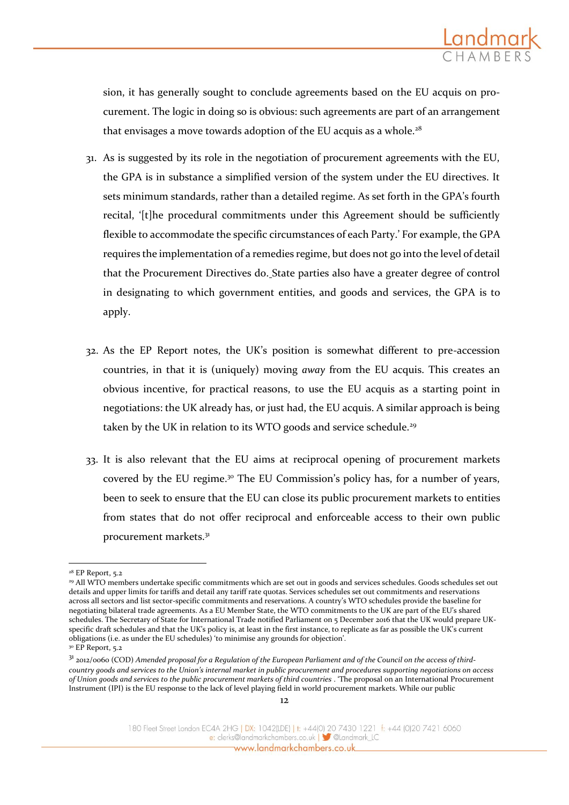sion, it has generally sought to conclude agreements based on the EU acquis on procurement. The logic in doing so is obvious: such agreements are part of an arrangement that envisages a move towards adoption of the EU acquis as a whole.<sup>28</sup>

- 31. As is suggested by its role in the negotiation of procurement agreements with the EU, the GPA is in substance a simplified version of the system under the EU directives. It sets minimum standards, rather than a detailed regime. As set forth in the GPA's fourth recital, '[t]he procedural commitments under this Agreement should be sufficiently flexible to accommodate the specific circumstances of each Party.' For example, the GPA requires the implementation of a remedies regime, but does not go into the level of detail that the Procurement Directives do. State parties also have a greater degree of control in designating to which government entities, and goods and services, the GPA is to apply.
- 32. As the EP Report notes, the UK's position is somewhat different to pre-accession countries, in that it is (uniquely) moving *away* from the EU acquis. This creates an obvious incentive, for practical reasons, to use the EU acquis as a starting point in negotiations: the UK already has, or just had, the EU acquis. A similar approach is being taken by the UK in relation to its WTO goods and service schedule.<sup>29</sup>
- 33. It is also relevant that the EU aims at reciprocal opening of procurement markets covered by the EU regime.<sup>30</sup> The EU Commission's policy has, for a number of years, been to seek to ensure that the EU can close its public procurement markets to entities from states that do not offer reciprocal and enforceable access to their own public procurement markets.<sup>31</sup>

<sup>-</sup><sup>28</sup> EP Report, 5.2

<sup>29</sup> All WTO members undertake specific commitments which are set out in goods and services schedules. Goods schedules set out details and upper limits for tariffs and detail any tariff rate quotas. Services schedules set out commitments and reservations across all sectors and list sector-specific commitments and reservations. A country's WTO schedules provide the baseline for negotiating bilateral trade agreements. As a EU Member State, the WTO commitments to the UK are part of the EU's shared schedules. The Secretary of State for International Trade notified Parliament on 5 December 2016 that the UK would prepare UKspecific draft schedules and that the UK's policy is, at least in the first instance, to replicate as far as possible the UK's current obligations (i.e. as under the EU schedules) 'to minimise any grounds for objection'.

<sup>&</sup>lt;sup>30</sup> EP Report, 5.2

<sup>31</sup> 2012/0060 (COD) *Amended proposal for a Regulation of the European Parliament and of the Council on the access of thirdcountry goods and services to the Union's internal market in public procurement and procedures supporting negotiations on access of Union goods and services to the public procurement markets of third countries* . 'The proposal on an International Procurement Instrument (IPI) is the EU response to the lack of level playing field in world procurement markets. While our public

<sup>180</sup> Fleet Street London EC4A 2HG | DX: 1042(LDE) | t: +44(0) 20 7430 1221 f: +44 (0)20 7421 6060 e: clerks@landmarkchambers.co.uk | 3 @Landmark\_LC www.landmarkchambers.co.uk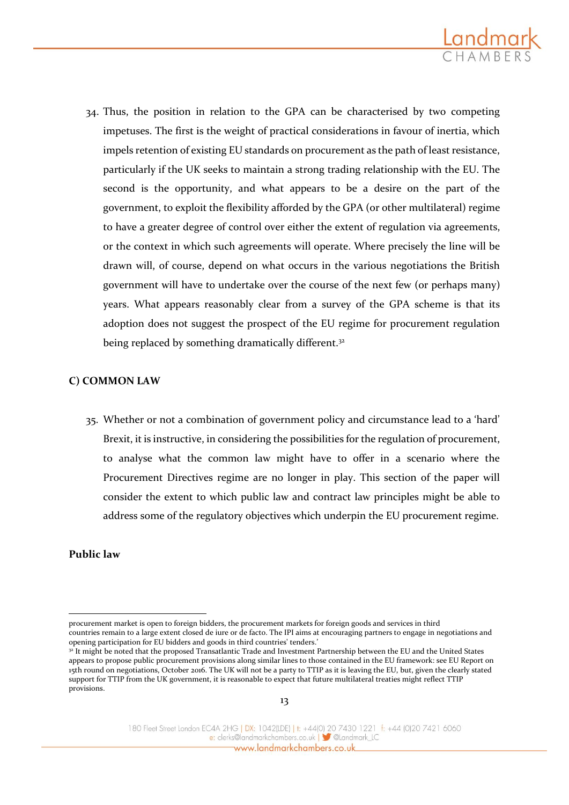

34. Thus, the position in relation to the GPA can be characterised by two competing impetuses. The first is the weight of practical considerations in favour of inertia, which impels retention of existing EU standards on procurement as the path of least resistance, particularly if the UK seeks to maintain a strong trading relationship with the EU. The second is the opportunity, and what appears to be a desire on the part of the government, to exploit the flexibility afforded by the GPA (or other multilateral) regime to have a greater degree of control over either the extent of regulation via agreements, or the context in which such agreements will operate. Where precisely the line will be drawn will, of course, depend on what occurs in the various negotiations the British government will have to undertake over the course of the next few (or perhaps many) years. What appears reasonably clear from a survey of the GPA scheme is that its adoption does not suggest the prospect of the EU regime for procurement regulation being replaced by something dramatically different.<sup>32</sup>

#### **C) COMMON LAW**

35. Whether or not a combination of government policy and circumstance lead to a 'hard' Brexit, it is instructive, in considering the possibilities for the regulation of procurement, to analyse what the common law might have to offer in a scenario where the Procurement Directives regime are no longer in play. This section of the paper will consider the extent to which public law and contract law principles might be able to address some of the regulatory objectives which underpin the EU procurement regime.

#### **Public law**

-

procurement market is open to foreign bidders, the procurement markets for foreign goods and services in third countries remain to a large extent closed de iure or de facto. The IPI aims at encouraging partners to engage in negotiations and opening participation for EU bidders and goods in third countries' tenders.'

<sup>32</sup> It might be noted that the proposed Transatlantic Trade and Investment Partnership between the EU and the United States appears to propose public procurement provisions along similar lines to those contained in the EU framework: see EU Report on 15th round on negotiations, October 2016. The UK will not be a party to TTIP as it is leaving the EU, but, given the clearly stated support for TTIP from the UK government, it is reasonable to expect that future multilateral treaties might reflect TTIP provisions.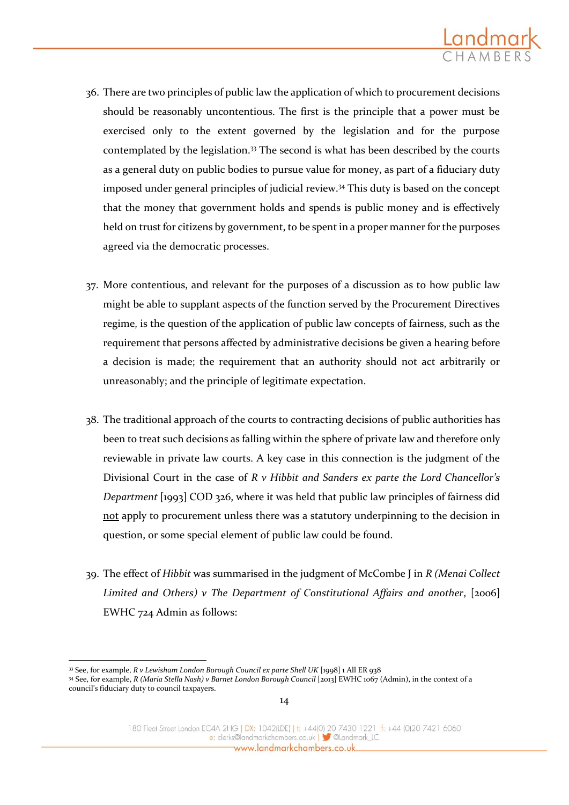

- 36. There are two principles of public law the application of which to procurement decisions should be reasonably uncontentious. The first is the principle that a power must be exercised only to the extent governed by the legislation and for the purpose contemplated by the legislation.<sup>33</sup> The second is what has been described by the courts as a general duty on public bodies to pursue value for money, as part of a fiduciary duty imposed under general principles of judicial review.<sup>34</sup> This duty is based on the concept that the money that government holds and spends is public money and is effectively held on trust for citizens by government, to be spent in a proper manner for the purposes agreed via the democratic processes.
- 37. More contentious, and relevant for the purposes of a discussion as to how public law might be able to supplant aspects of the function served by the Procurement Directives regime, is the question of the application of public law concepts of fairness, such as the requirement that persons affected by administrative decisions be given a hearing before a decision is made; the requirement that an authority should not act arbitrarily or unreasonably; and the principle of legitimate expectation.
- 38. The traditional approach of the courts to contracting decisions of public authorities has been to treat such decisions as falling within the sphere of private law and therefore only reviewable in private law courts. A key case in this connection is the judgment of the Divisional Court in the case of *R v Hibbit and Sanders ex parte the Lord Chancellor's Department* [1993] COD 326, where it was held that public law principles of fairness did not apply to procurement unless there was a statutory underpinning to the decision in question, or some special element of public law could be found.
- 39. The effect of *Hibbit* was summarised in the judgment of McCombe J in *R (Menai Collect Limited and Others) v The Department of Constitutional Affairs and another*, [2006] EWHC 724 Admin as follows:

<sup>1</sup> <sup>33</sup> See, for example, *R v Lewisham London Borough Council ex parte Shell UK* [1998] 1 All ER 938

<sup>34</sup> See, for example, *R (Maria Stella Nash) v Barnet London Borough Council* [2013] EWHC 1067 (Admin), in the context of a council's fiduciary duty to council taxpayers.

<sup>180</sup> Fleet Street London EC4A 2HG | DX: 1042(LDE) | t: +44(0) 20 7430 1221 f: +44 (0)20 7421 6060 e: clerks@landmarkchambers.co.uk | Sulandmark\_LC www.landmarkchambers.co.uk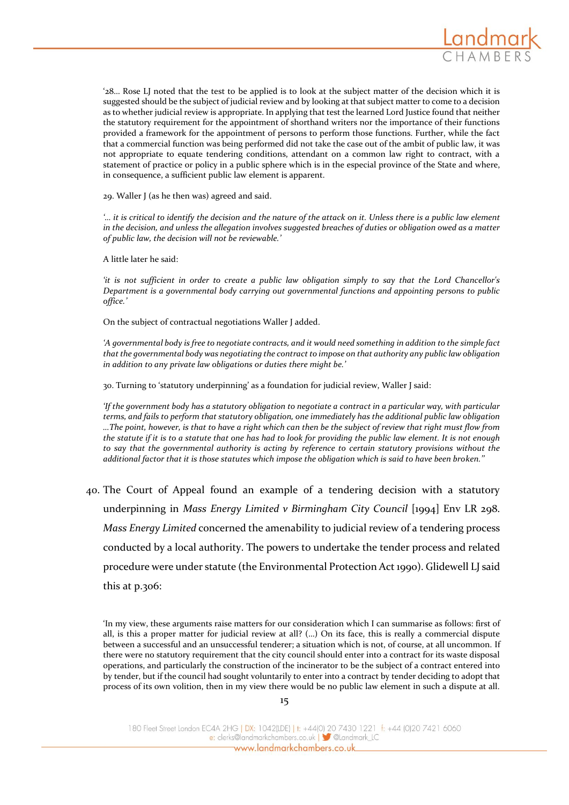

'28… Rose LJ noted that the test to be applied is to look at the subject matter of the decision which it is suggested should be the subject of judicial review and by looking at that subject matter to come to a decision as to whether judicial review is appropriate. In applying that test the learned Lord Justice found that neither the statutory requirement for the appointment of shorthand writers nor the importance of their functions provided a framework for the appointment of persons to perform those functions. Further, while the fact that a commercial function was being performed did not take the case out of the ambit of public law, it was not appropriate to equate tendering conditions, attendant on a common law right to contract, with a statement of practice or policy in a public sphere which is in the especial province of the State and where, in consequence, a sufficient public law element is apparent.

29. Waller J (as he then was) agreed and said.

*'… it is critical to identify the decision and the nature of the attack on it. Unless there is a public law element in the decision, and unless the allegation involves suggested breaches of duties or obligation owed as a matter of public law, the decision will not be reviewable.'*

A little later he said:

*'it is not sufficient in order to create a public law obligation simply to say that the Lord Chancellor's Department is a governmental body carrying out governmental functions and appointing persons to public office.'*

On the subject of contractual negotiations Waller J added.

*'A governmental body is free to negotiate contracts, and it would need something in addition to the simple fact that the governmental body was negotiating the contract to impose on that authority any public law obligation in addition to any private law obligations or duties there might be.'*

30. Turning to 'statutory underpinning' as a foundation for judicial review, Waller J said:

*'If the government body has a statutory obligation to negotiate a contract in a particular way, with particular terms, and fails to perform that statutory obligation, one immediately has the additional public law obligation …The point, however, is that to have a right which can then be the subject of review that right must flow from the statute if it is to a statute that one has had to look for providing the public law element. It is not enough to say that the governmental authority is acting by reference to certain statutory provisions without the additional factor that it is those statutes which impose the obligation which is said to have been broken.''*

40. The Court of Appeal found an example of a tendering decision with a statutory underpinning in *Mass Energy Limited v Birmingham City Council* [1994] Env LR 298. *Mass Energy Limited* concerned the amenability to judicial review of a tendering process conducted by a local authority. The powers to undertake the tender process and related procedure were under statute (the Environmental Protection Act 1990). Glidewell LJ said this at p.306:

'In my view, these arguments raise matters for our consideration which I can summarise as follows: first of all, is this a proper matter for judicial review at all? (…) On its face, this is really a commercial dispute between a successful and an unsuccessful tenderer; a situation which is not, of course, at all uncommon. If there were no statutory requirement that the city council should enter into a contract for its waste disposal operations, and particularly the construction of the incinerator to be the subject of a contract entered into by tender, but if the council had sought voluntarily to enter into a contract by tender deciding to adopt that process of its own volition, then in my view there would be no public law element in such a dispute at all.

<sup>180</sup> Fleet Street London EC4A 2HG | DX: 1042(LDE) | t: +44(0) 20 7430 1221 f: +44 (0)20 7421 6060 e: clerks@landmarkchambers.co.uk | Standmark\_LC www.landmarkchambers.co.uk\_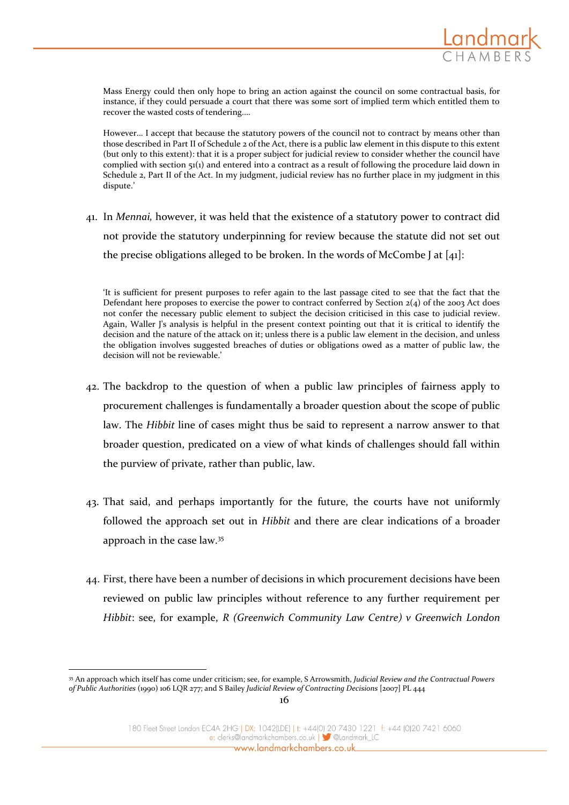

Mass Energy could then only hope to bring an action against the council on some contractual basis, for instance, if they could persuade a court that there was some sort of implied term which entitled them to recover the wasted costs of tendering.…

However… I accept that because the statutory powers of the council not to contract by means other than those described in Part II of Schedule 2 of the Act, there is a public law element in this dispute to this extent (but only to this extent): that it is a proper subject for judicial review to consider whether the council have complied with section 51(1) and entered into a contract as a result of following the procedure laid down in Schedule 2, Part II of the Act. In my judgment, judicial review has no further place in my judgment in this dispute.'

41. In *Mennai,* however, it was held that the existence of a statutory power to contract did not provide the statutory underpinning for review because the statute did not set out the precise obligations alleged to be broken. In the words of McCombe J at [41]:

'It is sufficient for present purposes to refer again to the last passage cited to see that the fact that the Defendant here proposes to exercise the power to contract conferred by Section  $2(4)$  of the 2003 Act does not confer the necessary public element to subject the decision criticised in this case to judicial review. Again, Waller J's analysis is helpful in the present context pointing out that it is critical to identify the decision and the nature of the attack on it; unless there is a public law element in the decision, and unless the obligation involves suggested breaches of duties or obligations owed as a matter of public law, the decision will not be reviewable.'

- 42. The backdrop to the question of when a public law principles of fairness apply to procurement challenges is fundamentally a broader question about the scope of public law. The *Hibbit* line of cases might thus be said to represent a narrow answer to that broader question, predicated on a view of what kinds of challenges should fall within the purview of private, rather than public, law.
- 43. That said, and perhaps importantly for the future, the courts have not uniformly followed the approach set out in *Hibbit* and there are clear indications of a broader approach in the case law.<sup>35</sup>
- 44. First, there have been a number of decisions in which procurement decisions have been reviewed on public law principles without reference to any further requirement per *Hibbit*: see, for example, *R (Greenwich Community Law Centre) v Greenwich London*

1

<sup>35</sup> An approach which itself has come under criticism; see, for example, S Arrowsmith, *Judicial Review and the Contractual Powers of Public Authorities* (1990) 106 LQR 277; and S Bailey *Judicial Review of Contracting Decisions* [2007] PL 444

<sup>180</sup> Fleet Street London EC4A 2HG | DX: 1042(LDE) | t: +44(0) 20 7430 1221 f: +44 (0)20 7421 6060 e: clerks@landmarkchambers.co.uk | Sulandmark\_LC www.landmarkchambers.co.uk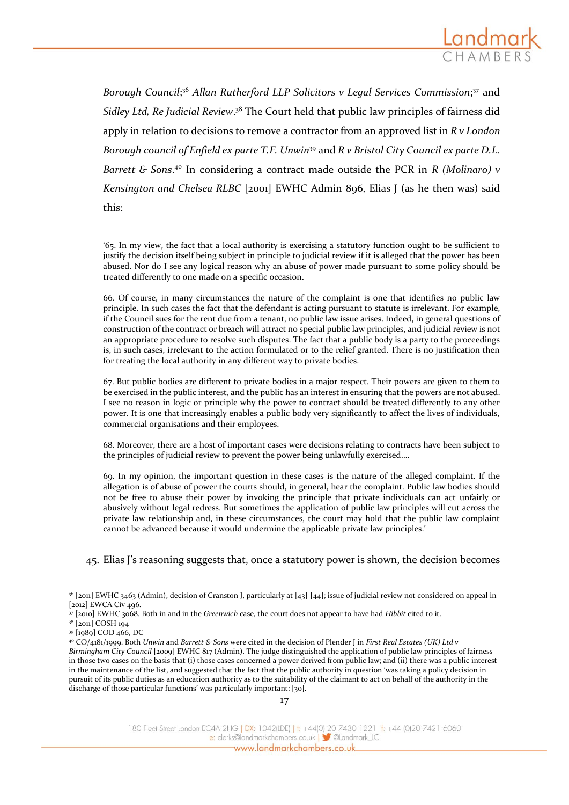

Borough Council;<sup>36</sup> Allan Rutherford LLP Solicitors v Legal Services Commission;<sup>37</sup> and *Sidley Ltd, Re Judicial Review*. <sup>38</sup> The Court held that public law principles of fairness did apply in relation to decisions to remove a contractor from an approved list in *R v London Borough council of Enfield ex parte T.F. Unwin*<sup>39</sup> and *R v Bristol City Council ex parte D.L.*  Barrett & Sons.<sup>40</sup> In considering a contract made outside the PCR in *R* (Molinaro) v *Kensington and Chelsea RLBC* [2001] EWHC Admin 896, Elias J (as he then was) said this:

'65. In my view, the fact that a local authority is exercising a statutory function ought to be sufficient to justify the decision itself being subject in principle to judicial review if it is alleged that the power has been abused. Nor do I see any logical reason why an abuse of power made pursuant to some policy should be treated differently to one made on a specific occasion.

66. Of course, in many circumstances the nature of the complaint is one that identifies no public law principle. In such cases the fact that the defendant is acting pursuant to statute is irrelevant. For example, if the Council sues for the rent due from a tenant, no public law issue arises. Indeed, in general questions of construction of the contract or breach will attract no special public law principles, and judicial review is not an appropriate procedure to resolve such disputes. The fact that a public body is a party to the proceedings is, in such cases, irrelevant to the action formulated or to the relief granted. There is no justification then for treating the local authority in any different way to private bodies.

67. But public bodies are different to private bodies in a major respect. Their powers are given to them to be exercised in the public interest, and the public has an interest in ensuring that the powers are not abused. I see no reason in logic or principle why the power to contract should be treated differently to any other power. It is one that increasingly enables a public body very significantly to affect the lives of individuals, commercial organisations and their employees.

68. Moreover, there are a host of important cases were decisions relating to contracts have been subject to the principles of judicial review to prevent the power being unlawfully exercised.…

69. In my opinion, the important question in these cases is the nature of the alleged complaint. If the allegation is of abuse of power the courts should, in general, hear the complaint. Public law bodies should not be free to abuse their power by invoking the principle that private individuals can act unfairly or abusively without legal redress. But sometimes the application of public law principles will cut across the private law relationship and, in these circumstances, the court may hold that the public law complaint cannot be advanced because it would undermine the applicable private law principles.'

45. Elias J's reasoning suggests that, once a statutory power is shown, the decision becomes

-

*Birmingham City Council* [2009] EWHC 817 (Admin). The judge distinguished the application of public law principles of fairness in those two cases on the basis that (i) those cases concerned a power derived from public law; and (ii) there was a public interest in the maintenance of the list, and suggested that the fact that the public authority in question 'was taking a policy decision in pursuit of its public duties as an education authority as to the suitability of the claimant to act on behalf of the authority in the discharge of those particular functions' was particularly important: [30].

e: clerks@landmarkchambers.co.uk | 3 @Landmark\_LC www.landmarkchambers.co.uk\_

<sup>&</sup>lt;sup>36</sup> [2011] EWHC 3463 (Admin), decision of Cranston J, particularly at [43]-[44]; issue of judicial review not considered on appeal in [2012] EWCA Civ 496.

<sup>37</sup> [2010] EWHC 3068. Both in and in the *Greenwich* case, the court does not appear to have had *Hibbit* cited to it.

<sup>38</sup> [2011] COSH 194

<sup>39</sup> [1989] COD 466, DC

<sup>40</sup> CO/4181/1999. Both *Unwin* and *Barrett & Sons* were cited in the decision of Plender J in *First Real Estates (UK) Ltd v* 

<sup>180</sup> Fleet Street London EC4A 2HG | DX: 1042(LDE) | t: +44(0) 20 7430 1221 f: +44 (0)20 7421 6060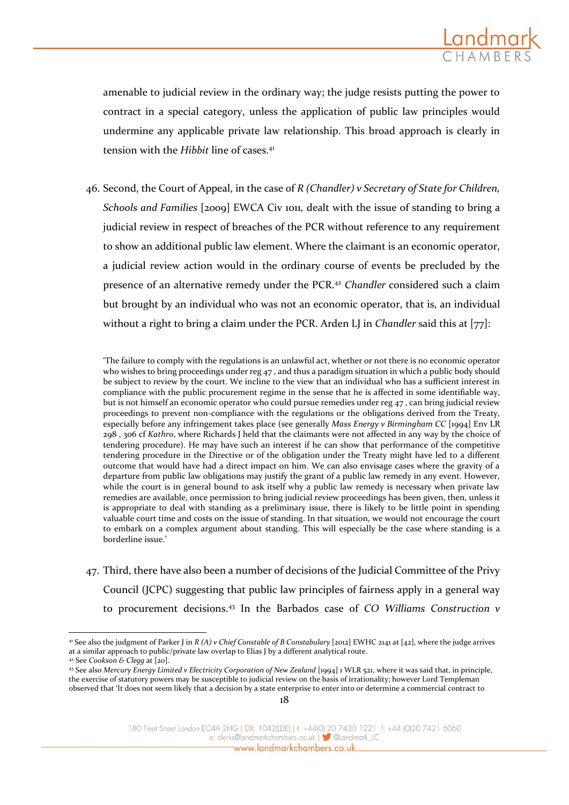

amenable to judicial review in the ordinary way; the judge resists putting the power to contract in a special category, unless the application of public law principles would undermine any applicable private law relationship. This broad approach is clearly in tension with the *Hibbit* line of cases.<sup>41</sup>

46. Second, the Court of Appeal, in the case of *R (Chandler) v Secretary of State for Children, Schools and Families* [2009] EWCA Civ 1011*,* dealt with the issue of standing to bring a judicial review in respect of breaches of the PCR without reference to any requirement to show an additional public law element. Where the claimant is an economic operator, a judicial review action would in the ordinary course of events be precluded by the presence of an alternative remedy under the PCR.<sup>42</sup> *Chandler* considered such a claim but brought by an individual who was not an economic operator, that is, an individual without a right to bring a claim under the PCR. Arden LJ in *Chandler* said this at [77]:

'The failure to comply with the regulations is an unlawful act, whether or not there is no economic operator who wishes to bring proceedings under reg 47, and thus a paradigm situation in which a public body should be subject to review by the court. We incline to the view that an individual who has a sufficient interest in compliance with the public procurement regime in the sense that he is affected in some identifiable way, but is not himself an economic operator who could pursue remedies under reg 47 , can bring judicial review proceedings to prevent non-compliance with the regulations or the obligations derived from the Treaty, especially before any infringement takes place (see generally *Mass Energy v Birmingham CC* [1994] Env LR 298 , 306 cf *Kathro*, where Richards J held that the claimants were not affected in any way by the choice of tendering procedure). He may have such an interest if he can show that performance of the competitive tendering procedure in the Directive or of the obligation under the Treaty might have led to a different outcome that would have had a direct impact on him. We can also envisage cases where the gravity of a departure from public law obligations may justify the grant of a public law remedy in any event. However, while the court is in general bound to ask itself why a public law remedy is necessary when private law remedies are available, once permission to bring judicial review proceedings has been given, then, unless it is appropriate to deal with standing as a preliminary issue, there is likely to be little point in spending valuable court time and costs on the issue of standing. In that situation, we would not encourage the court to embark on a complex argument about standing. This will especially be the case where standing is a borderline issue.'

47. Third, there have also been a number of decisions of the Judicial Committee of the Privy Council (JCPC) suggesting that public law principles of fairness apply in a general way to procurement decisions.<sup>43</sup> In the Barbados case of *CO Williams Construction v* 

<u>.</u>

<sup>41</sup> See also the judgment of Parker J in *R (A) v Chief Constable of B Constabulary* [2012] EWHC 2141 at [42], where the judge arrives at a similar approach to public/private law overlap to Elias J by a different analytical route.

<sup>42</sup> See *Cookson & Clegg* at [20].

<sup>43</sup> See also *Mercury Energy Limited v Electricity Corporation of New Zealand* [1994] 1 WLR 521, where it was said that, in principle, the exercise of statutory powers may be susceptible to judicial review on the basis of irrationality; however Lord Templeman observed that 'It does not seem likely that a decision by a state enterprise to enter into or determine a commercial contract to

<sup>180</sup> Fleet Street London EC4A 2HG | DX: 1042(LDE) | t: +44(0) 20 7430 1221 f: +44 (0)20 7421 6060 e: clerks@landmarkchambers.co.uk | 3 @Landmark\_LC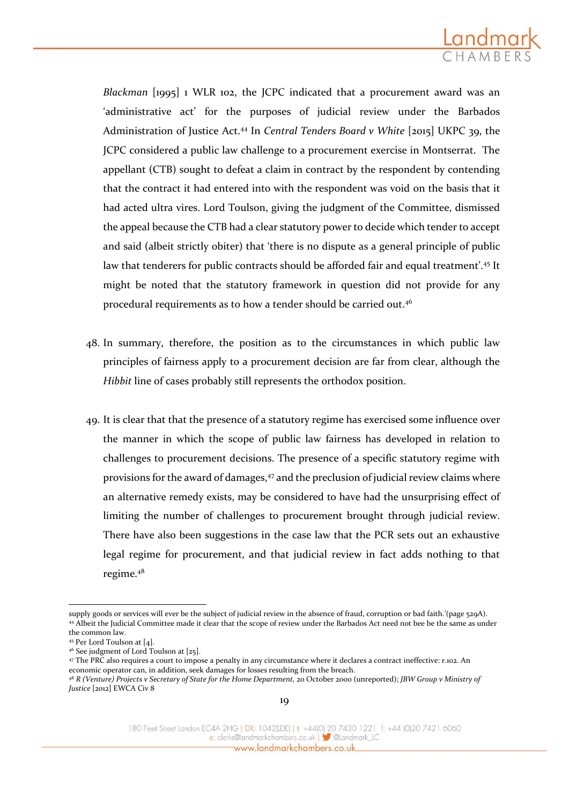

*Blackman* [1995] 1 WLR 102, the JCPC indicated that a procurement award was an 'administrative act' for the purposes of judicial review under the Barbados Administration of Justice Act.<sup>44</sup> In *Central Tenders Board v White* [2015] UKPC 39, the JCPC considered a public law challenge to a procurement exercise in Montserrat. The appellant (CTB) sought to defeat a claim in contract by the respondent by contending that the contract it had entered into with the respondent was void on the basis that it had acted ultra vires. Lord Toulson, giving the judgment of the Committee, dismissed the appeal because the CTB had a clear statutory power to decide which tender to accept and said (albeit strictly obiter) that 'there is no dispute as a general principle of public law that tenderers for public contracts should be afforded fair and equal treatment'.<sup>45</sup> It might be noted that the statutory framework in question did not provide for any procedural requirements as to how a tender should be carried out.<sup>46</sup>

- 48. In summary, therefore, the position as to the circumstances in which public law principles of fairness apply to a procurement decision are far from clear, although the *Hibbit* line of cases probably still represents the orthodox position.
- 49. It is clear that that the presence of a statutory regime has exercised some influence over the manner in which the scope of public law fairness has developed in relation to challenges to procurement decisions. The presence of a specific statutory regime with provisions for the award of damages,<sup>47</sup> and the preclusion of judicial review claims where an alternative remedy exists, may be considered to have had the unsurprising effect of limiting the number of challenges to procurement brought through judicial review. There have also been suggestions in the case law that the PCR sets out an exhaustive legal regime for procurement, and that judicial review in fact adds nothing to that regime.<sup>48</sup>

-

supply goods or services will ever be the subject of judicial review in the absence of fraud, corruption or bad faith.'(page 529A). <sup>44</sup> Albeit the Judicial Committee made it clear that the scope of review under the Barbados Act need not bee be the same as under the common law.

<sup>45</sup> Per Lord Toulson at [4].

<sup>46</sup> See judgment of Lord Toulson at [25].

<sup>47</sup> The PRC also requires a court to impose a penalty in any circumstance where it declares a contract ineffective: r.102. An economic operator can, in addition, seek damages for losses resulting from the breach.

<sup>48</sup> *R (Venture) Projects v Secretary of State for the Home Department,* 20 October 2000 (unreported); *JBW Group v Ministry of Justice* [2012] EWCA Civ 8

<sup>180</sup> Fleet Street London EC4A 2HG | DX: 1042(LDE) | t: +44(0) 20 7430 1221 f: +44 (0)20 7421 6060 e: clerks@landmarkchambers.co.uk | 3 @Landmark\_LC www.landmarkchambers.co.uk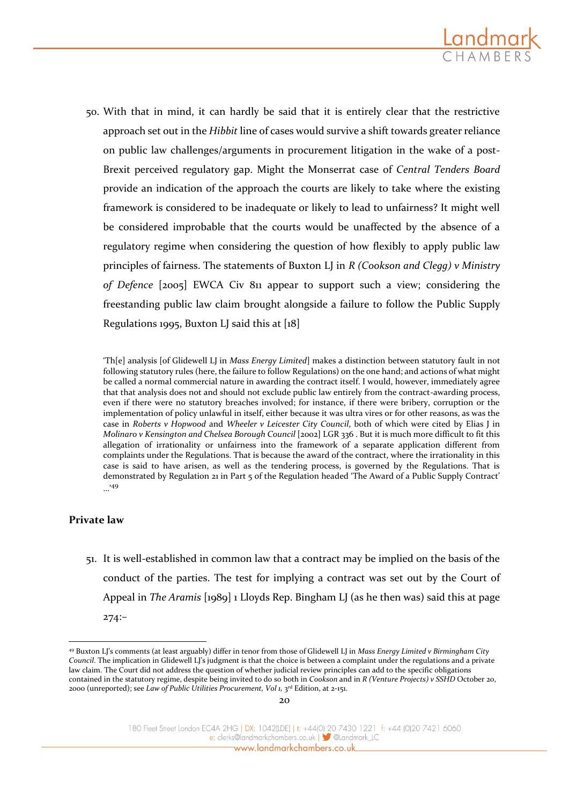

50. With that in mind, it can hardly be said that it is entirely clear that the restrictive approach set out in the *Hibbit* line of cases would survive a shift towards greater reliance on public law challenges/arguments in procurement litigation in the wake of a post-Brexit perceived regulatory gap. Might the Monserrat case of *Central Tenders Board*  provide an indication of the approach the courts are likely to take where the existing framework is considered to be inadequate or likely to lead to unfairness? It might well be considered improbable that the courts would be unaffected by the absence of a regulatory regime when considering the question of how flexibly to apply public law principles of fairness. The statements of Buxton LJ in *R (Cookson and Clegg) v Ministry of Defence* [2005] EWCA Civ 811 appear to support such a view; considering the freestanding public law claim brought alongside a failure to follow the Public Supply Regulations 1995, Buxton LJ said this at  $[18]$ 

'Th[e] analysis [of Glidewell LJ in *Mass Energy Limited*] makes a distinction between statutory fault in not following statutory rules (here, the failure to follow Regulations) on the one hand; and actions of what might be called a normal commercial nature in awarding the contract itself. I would, however, immediately agree that that analysis does not and should not exclude public law entirely from the contract-awarding process, even if there were no statutory breaches involved; for instance, if there were bribery, corruption or the implementation of policy unlawful in itself, either because it was ultra vires or for other reasons, as was the case in *Roberts v Hopwood* and *Wheeler v Leicester City Council*, both of which were cited by Elias J in *Molinaro v Kensington and Chelsea Borough Council* [2002] LGR 336 . But it is much more difficult to fit this allegation of irrationality or unfairness into the framework of a separate application different from complaints under the Regulations. That is because the award of the contract, where the irrationality in this case is said to have arisen, as well as the tendering process, is governed by the Regulations. That is demonstrated by Regulation 21 in Part 5 of the Regulation headed 'The Award of a Public Supply Contract' …'<sup>49</sup>

#### **Private law**

<u>.</u>

51. It is well-established in common law that a contract may be implied on the basis of the conduct of the parties. The test for implying a contract was set out by the Court of Appeal in *The Aramis* [1989] 1 Lloyds Rep. Bingham LJ (as he then was) said this at page 274:–

<sup>49</sup> Buxton LJ's comments (at least arguably) differ in tenor from those of Glidewell LJ in *Mass Energy Limited v Birmingham City Council*. The implication in Glidewell LJ's judgment is that the choice is between a complaint under the regulations and a private law claim. The Court did not address the question of whether judicial review principles can add to the specific obligations contained in the statutory regime, despite being invited to do so both in *Cookson* and in *R (Venture Projects) v SSHD* October 20, 2000 (unreported); see *Law of Public Utilities Procurement, Vol 1,* 3 rd Edition, at 2-151.

<sup>180</sup> Fleet Street London EC4A 2HG | DX: 1042(LDE) | t: +44(0) 20 7430 1221 f: +44 (0)20 7421 6060 e: clerks@landmarkchambers.co.uk | Sulandmark\_LC www.landmarkchambers.co.uk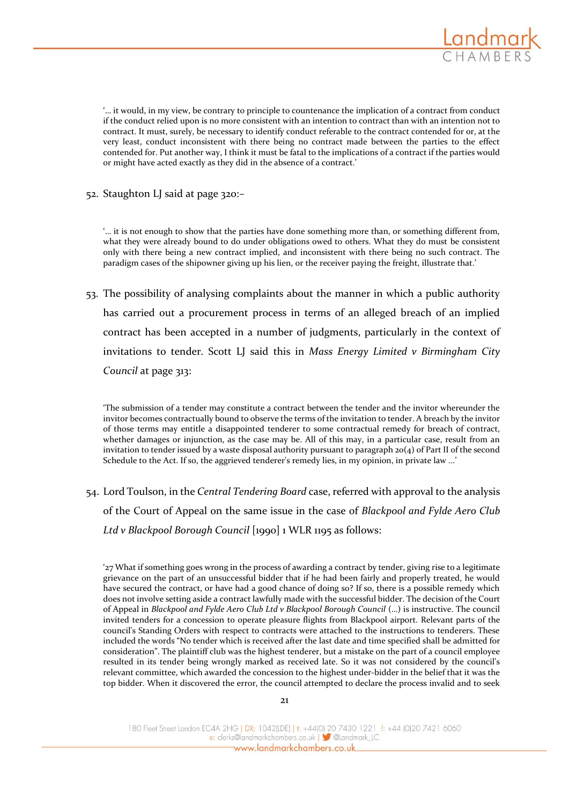

'… it would, in my view, be contrary to principle to countenance the implication of a contract from conduct if the conduct relied upon is no more consistent with an intention to contract than with an intention not to contract. It must, surely, be necessary to identify conduct referable to the contract contended for or, at the very least, conduct inconsistent with there being no contract made between the parties to the effect contended for. Put another way, I think it must be fatal to the implications of a contract if the parties would or might have acted exactly as they did in the absence of a contract.'

52. Staughton LJ said at page 320:–

'… it is not enough to show that the parties have done something more than, or something different from, what they were already bound to do under obligations owed to others. What they do must be consistent only with there being a new contract implied, and inconsistent with there being no such contract. The paradigm cases of the shipowner giving up his lien, or the receiver paying the freight, illustrate that.'

53. The possibility of analysing complaints about the manner in which a public authority has carried out a procurement process in terms of an alleged breach of an implied contract has been accepted in a number of judgments, particularly in the context of invitations to tender. Scott LJ said this in *Mass Energy Limited v Birmingham City Council* at page 313:

'The submission of a tender may constitute a contract between the tender and the invitor whereunder the invitor becomes contractually bound to observe the terms of the invitation to tender. A breach by the invitor of those terms may entitle a disappointed tenderer to some contractual remedy for breach of contract, whether damages or injunction, as the case may be. All of this may, in a particular case, result from an invitation to tender issued by a waste disposal authority pursuant to paragraph 20(4) of Part II of the second Schedule to the Act. If so, the aggrieved tenderer's remedy lies, in my opinion, in private law ...'

54. Lord Toulson, in the *Central Tendering Board* case, referred with approval to the analysis of the Court of Appeal on the same issue in the case of *Blackpool and Fylde Aero Club Ltd v Blackpool Borough Council* [1990] 1 WLR 1195 as follows:

'27 What if something goes wrong in the process of awarding a contract by tender, giving rise to a legitimate grievance on the part of an unsuccessful bidder that if he had been fairly and properly treated, he would have secured the contract, or have had a good chance of doing so? If so, there is a possible remedy which does not involve setting aside a contract lawfully made with the successful bidder. The decision of the Court of Appeal in *Blackpool and Fylde Aero Club Ltd v Blackpool Borough Council* (…) is instructive. The council invited tenders for a concession to operate pleasure flights from Blackpool airport. Relevant parts of the council's Standing Orders with respect to contracts were attached to the instructions to tenderers. These included the words "No tender which is received after the last date and time specified shall be admitted for consideration". The plaintiff club was the highest tenderer, but a mistake on the part of a council employee resulted in its tender being wrongly marked as received late. So it was not considered by the council's relevant committee, which awarded the concession to the highest under-bidder in the belief that it was the top bidder. When it discovered the error, the council attempted to declare the process invalid and to seek

180 Fleet Street London EC4A 2HG | DX: 1042(LDE) | t: +44(0) 20 7430 1221 f: +44 (0)20 7421 6060 e: clerks@landmarkchambers.co.uk | Sulandmark\_LC www.landmarkchambers.co.uk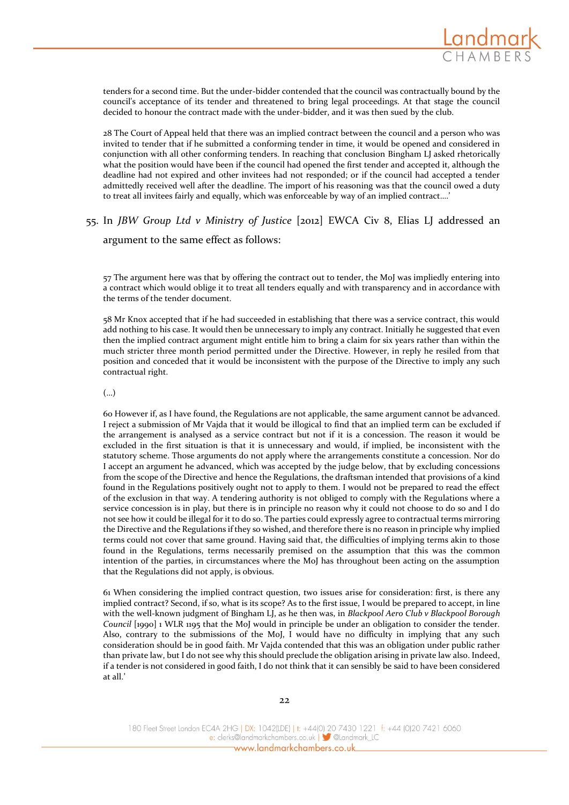

tenders for a second time. But the under-bidder contended that the council was contractually bound by the council's acceptance of its tender and threatened to bring legal proceedings. At that stage the council decided to honour the contract made with the under-bidder, and it was then sued by the club.

28 The Court of Appeal held that there was an implied contract between the council and a person who was invited to tender that if he submitted a conforming tender in time, it would be opened and considered in conjunction with all other conforming tenders. In reaching that conclusion Bingham LJ asked rhetorically what the position would have been if the council had opened the first tender and accepted it, although the deadline had not expired and other invitees had not responded; or if the council had accepted a tender admittedly received well after the deadline. The import of his reasoning was that the council owed a duty to treat all invitees fairly and equally, which was enforceable by way of an implied contract….'

# 55. In *JBW Group Ltd v Ministry of Justice* [2012] EWCA Civ 8, Elias LJ addressed an

argument to the same effect as follows:

57 The argument here was that by offering the contract out to tender, the MoJ was impliedly entering into a contract which would oblige it to treat all tenders equally and with transparency and in accordance with the terms of the tender document.

58 Mr Knox accepted that if he had succeeded in establishing that there was a service contract, this would add nothing to his case. It would then be unnecessary to imply any contract. Initially he suggested that even then the implied contract argument might entitle him to bring a claim for six years rather than within the much stricter three month period permitted under the Directive. However, in reply he resiled from that position and conceded that it would be inconsistent with the purpose of the Directive to imply any such contractual right.

#### (…)

60 However if, as I have found, the Regulations are not applicable, the same argument cannot be advanced. I reject a submission of Mr Vajda that it would be illogical to find that an implied term can be excluded if the arrangement is analysed as a service contract but not if it is a concession. The reason it would be excluded in the first situation is that it is unnecessary and would, if implied, be inconsistent with the statutory scheme. Those arguments do not apply where the arrangements constitute a concession. Nor do I accept an argument he advanced, which was accepted by the judge below, that by excluding concessions from the scope of the Directive and hence the Regulations, the draftsman intended that provisions of a kind found in the Regulations positively ought not to apply to them. I would not be prepared to read the effect of the exclusion in that way. A tendering authority is not obliged to comply with the Regulations where a service concession is in play, but there is in principle no reason why it could not choose to do so and I do not see how it could be illegal for it to do so. The parties could expressly agree to contractual terms mirroring the Directive and the Regulations if they so wished, and therefore there is no reason in principle why implied terms could not cover that same ground. Having said that, the difficulties of implying terms akin to those found in the Regulations, terms necessarily premised on the assumption that this was the common intention of the parties, in circumstances where the MoJ has throughout been acting on the assumption that the Regulations did not apply, is obvious.

61 When considering the implied contract question, two issues arise for consideration: first, is there any implied contract? Second, if so, what is its scope? As to the first issue, I would be prepared to accept, in line with the well-known judgment of Bingham LJ, as he then was, in *Blackpool Aero Club v Blackpool Borough Council* [1990] 1 WLR 1195 that the MoJ would in principle be under an obligation to consider the tender. Also, contrary to the submissions of the MoJ, I would have no difficulty in implying that any such consideration should be in good faith. Mr Vajda contended that this was an obligation under public rather than private law, but I do not see why this should preclude the obligation arising in private law also. Indeed, if a tender is not considered in good faith, I do not think that it can sensibly be said to have been considered at all.'

180 Fleet Street London EC4A 2HG | DX: 1042(LDE) | t: +44(0) 20 7430 1221 f: +44 (0)20 7421 6060 e: clerks@landmarkchambers.co.uk | Standmark\_LC www.landmarkchambers.co.uk\_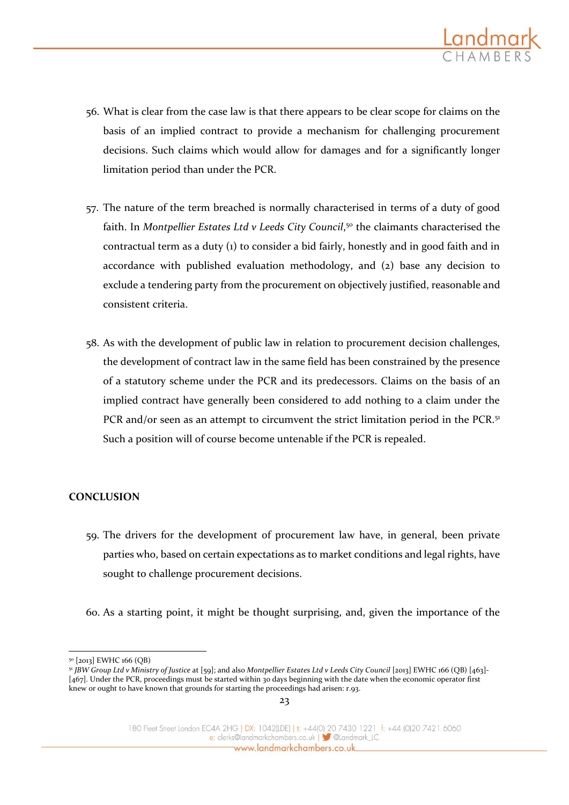

- 56. What is clear from the case law is that there appears to be clear scope for claims on the basis of an implied contract to provide a mechanism for challenging procurement decisions. Such claims which would allow for damages and for a significantly longer limitation period than under the PCR.
- 57. The nature of the term breached is normally characterised in terms of a duty of good faith. In *Montpellier Estates Ltd v Leeds City Council*, <sup>50</sup> the claimants characterised the contractual term as a duty (1) to consider a bid fairly, honestly and in good faith and in accordance with published evaluation methodology, and (2) base any decision to exclude a tendering party from the procurement on objectively justified, reasonable and consistent criteria.
- 58. As with the development of public law in relation to procurement decision challenges, the development of contract law in the same field has been constrained by the presence of a statutory scheme under the PCR and its predecessors. Claims on the basis of an implied contract have generally been considered to add nothing to a claim under the PCR and/or seen as an attempt to circumvent the strict limitation period in the PCR.<sup>51</sup> Such a position will of course become untenable if the PCR is repealed.

#### **CONCLUSION**

- 59. The drivers for the development of procurement law have, in general, been private parties who, based on certain expectations as to market conditions and legal rights, have sought to challenge procurement decisions.
- 60. As a starting point, it might be thought surprising, and, given the importance of the

<sup>&</sup>lt;u>.</u> <sup>50</sup> [2013] EWHC 166 (QB)

<sup>51</sup> *JBW Group Ltd v Ministry of Justice* at [59]; and also *Montpellier Estates Ltd v Leeds City Council* [2013] EWHC 166 (QB) [463]- [467]. Under the PCR, proceedings must be started within 30 days beginning with the date when the economic operator first knew or ought to have known that grounds for starting the proceedings had arisen: r.93.

<sup>180</sup> Fleet Street London EC4A 2HG | DX: 1042(LDE) | t: +44(0) 20 7430 1221 f: +44 (0)20 7421 6060 e: clerks@landmarkchambers.co.uk | Sulandmark\_LC www.landmarkchambers.co.uk